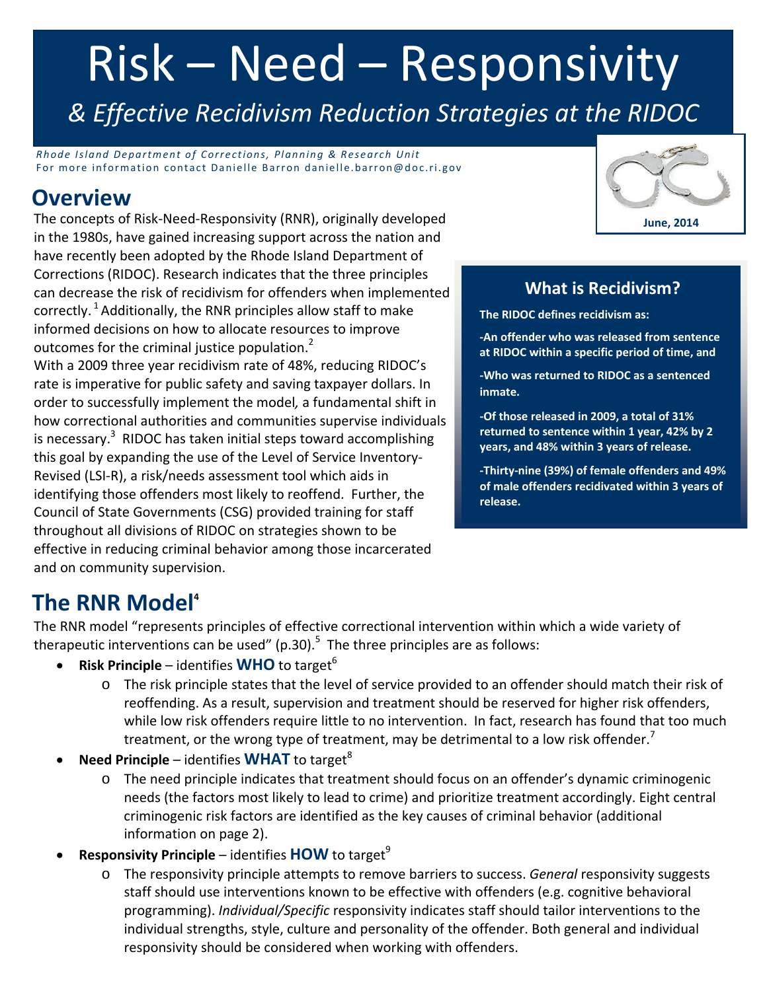# Risk – Need – Responsivity

*& Effective Recidivism Reduction Strategies at the RIDOC*

*Rhode Island Department o f Corrections, Planning & Research Unit* For more information contact Danielle Barron danielle.barron@doc.ri.gov

## **Overview**

The concepts of Risk‐Need‐Responsivity (RNR), originally developed in the 1980s, have gained increasing support across the nation and have recently been adopted by the Rhode Island Department of Corrections (RIDOC). Research indicates that the three principles can decrease the risk of recidivism for offenders when implemented correctly.  $1$  Additionally, the RNR principles allow staff to make informed decisions on how to allocate resources to improve outcomes for the criminal justice population.<sup>2</sup> With a 2009 three year recidivism rate of 48%, reducing RIDOC's rate is imperative for public safety and saving taxpayer dollars. In

order to successfully implement the model*,* a fundamental shift in how correctional authorities and communities supervise individuals is necessary. $^3$  RIDOC has taken initial steps toward accomplishing this goal by expanding the use of the Level of Service Inventory‐ Revised (LSI‐R), a risk/needs assessment tool which aids in identifying those offenders most likely to reoffend. Further, the Council of State Governments (CSG) provided training for staff throughout all divisions of RIDOC on strategies shown to be effective in reducing criminal behavior among those incarcerated and on community supervision.



## **What is Recidivism?**

**The RIDOC defines recidivism as:**

**‐An offender who was released from sentence at RIDOC within a specific period of time, and**

**‐Who was returned to RIDOC as a sentenced inmate.**

**‐Of those released in 2009, a total of 31% returned to sentence within 1 year, 42% by 2 years, and 48% within 3 years of release.** 

**‐Thirty‐nine (39%) of female offenders and 49% of male offenders recidivated within 3 years of release.**

## **The RNR Model4**

The RNR model "represents principles of effective correctional intervention within which a wide variety of therapeutic interventions can be used" (p.30).<sup>5</sup> The three principles are as follows:

- **Risk Principle** identifies **WHO** to target<sup>6</sup>
	- o The risk principle states that the level of service provided to an offender should match their risk of reoffending. As a result, supervision and treatment should be reserved for higher risk offenders, while low risk offenders require little to no intervention. In fact, research has found that too much treatment, or the wrong type of treatment, may be detrimental to a low risk offender.<sup>7</sup>
- **Need Principle** identifies **WHAT** to target<sup>8</sup>
	- o The need principle indicates that treatment should focus on an offender's dynamic criminogenic needs (the factors most likely to lead to crime) and prioritize treatment accordingly. Eight central criminogenic risk factors are identified as the key causes of criminal behavior (additional information on page 2).
- **Responsivity Principle** identifies **HOW** to target<sup>9</sup>
	- o The responsivity principle attempts to remove barriers to success. *General* responsivity suggests staff should use interventions known to be effective with offenders (e.g. cognitive behavioral programming). *Individual/Specific* responsivity indicates staff should tailor interventions to the individual strengths, style, culture and personality of the offender. Both general and individual responsivity should be considered when working with offenders.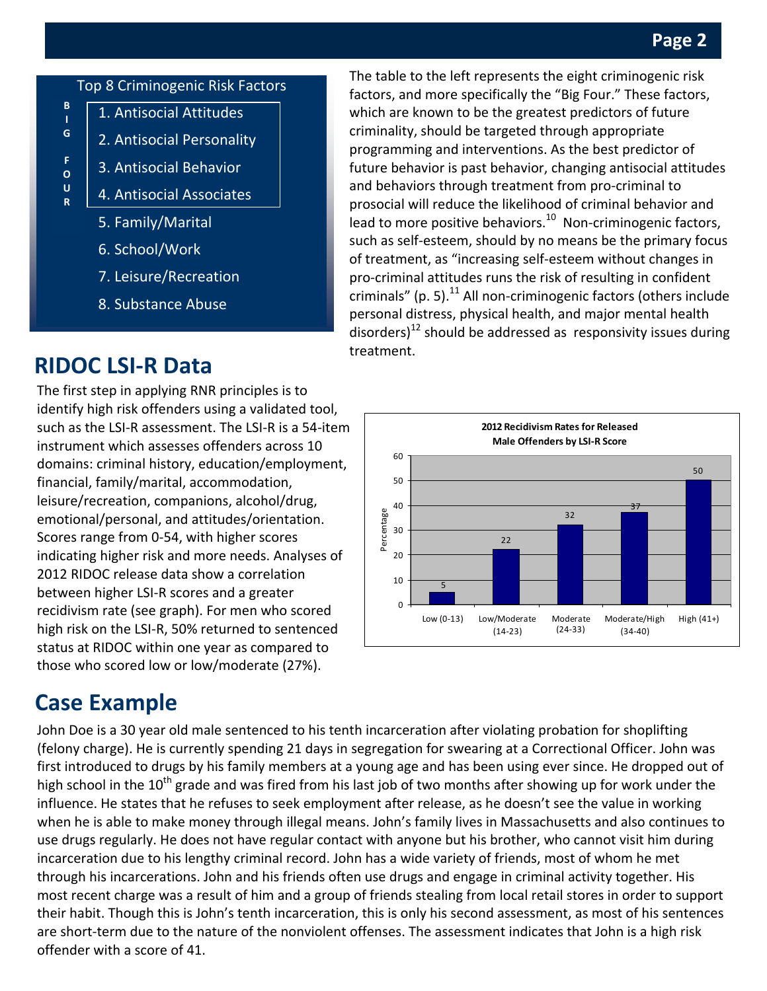## **Page 2**

#### Top 8 Criminogenic Risk Factors 1. Antisocial Attitudes **B**

2. Antisocial Personality

3. Antisocial Behavior

- **I G**
- **F O**
- **U R**
- 4. Antisocial Associates
- 5. Family/Marital
- 6. School/Work
- 7. Leisure/Recreation
- 8. Substance Abuse

# **RIDOC LSI‐R Data**

 leisure/recreation, companions, alcohol/drug, The first step in applying RNR principles is to identify high risk offenders using a validated tool, such as the LSI‐R assessment. The LSI‐R is a 54‐item instrument which assesses offenders across 10 domains: criminal history, education/employment, financial, family/marital, accommodation, emotional/personal, and attitudes/orientation. Scores range from 0‐54, with higher scores indicating higher risk and more needs. Analyses of 2012 RIDOC release data show a correlation between higher LSI‐R scores and a greater recidivism rate (see graph). For men who scored high risk on the LSI-R, 50% returned to sentenced status at RIDOC within one year as compared to those who scored low or low/moderate (27%).

## **Case Example**

John Doe is a 30 year old male sentenced to his tenth incarceration after violating probation for shoplifting (felony charge). He is currently spending 21 days in segregation for swearing at a Correctional Officer. John was first introduced to drugs by his family members at a young age and has been using ever since. He dropped out of high school in the  $10^{th}$  grade and was fired from his last job of two months after showing up for work under the influence. He states that he refuses to seek employment after release, as he doesn't see the value in working when he is able to make money through illegal means. John's family lives in Massachusetts and also continues to use drugs regularly. He does not have regular contact with anyone but his brother, who cannot visit him during incarceration due to his lengthy criminal record. John has a wide variety of friends, most of whom he met through his incarcerations. John and his friends often use drugs and engage in criminal activity together. His most recent charge was a result of him and a group of friends stealing from local retail stores in order to support their habit. Though this is John's tenth incarceration, this is only his second assessment, as most of his sentences are short-term due to the nature of the nonviolent offenses. The assessment indicates that John is a high risk offender with a score of 41.

newsletter Title The table to the left represents the eight criminogenic risk factors, and more specifically the "Big Four." These factors, which are known to be the greatest predictors of future criminality, should be targeted through appropriate programming and interventions. As the best predictor of future behavior is past behavior, changing antisocial attitudes and behaviors through treatment from pro‐criminal to prosocial will reduce the likelihood of criminal behavior and lead to more positive behaviors. $10<sup>10</sup>$  Non-criminogenic factors, such as self‐esteem, should by no means be the primary focus of treatment, as "increasing self‐esteem without changes in pro‐criminal attitudes runs the risk of resulting in confident criminals" (p. 5). $^{11}$  All non-criminogenic factors (others include personal distress, physical health, and major mental health disorders)<sup>12</sup> should be addressed as responsivity issues during treatment.